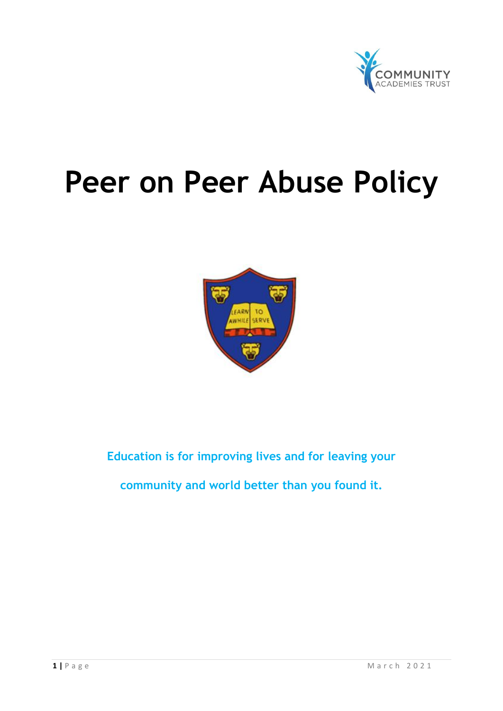

# **Peer on Peer Abuse Policy**



## **Education is for improving lives and for leaving your**

**community and world better than you found it.**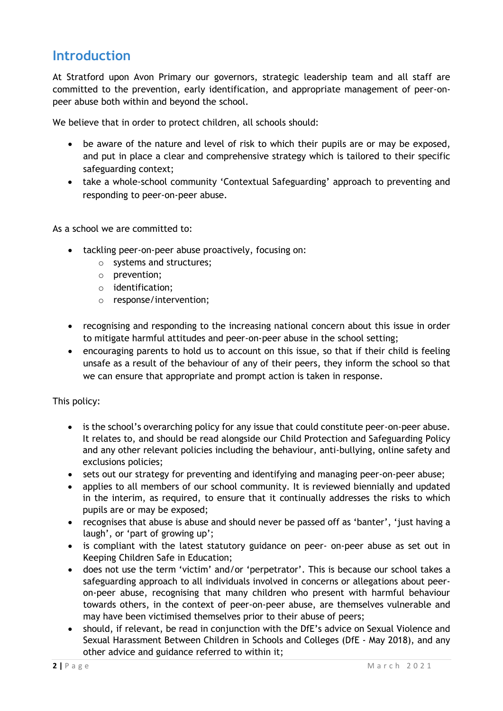## **Introduction**

At Stratford upon Avon Primary our governors, strategic leadership team and all staff are committed to the prevention, early identification, and appropriate management of peer-onpeer abuse both within and beyond the school.

We believe that in order to protect children, all schools should:

- be aware of the nature and level of risk to which their pupils are or may be exposed, and put in place a clear and comprehensive strategy which is tailored to their specific safeguarding context;
- take a whole-school community 'Contextual Safeguarding' approach to preventing and responding to peer-on-peer abuse.

As a school we are committed to:

- tackling peer-on-peer abuse proactively, focusing on:
	- o systems and structures;
	- o prevention;
	- o identification;
	- o response/intervention;
- recognising and responding to the increasing national concern about this issue in order to mitigate harmful attitudes and peer-on-peer abuse in the school setting;
- encouraging parents to hold us to account on this issue, so that if their child is feeling unsafe as a result of the behaviour of any of their peers, they inform the school so that we can ensure that appropriate and prompt action is taken in response.

This policy:

- is the school's overarching policy for any issue that could constitute peer-on-peer abuse. It relates to, and should be read alongside our Child Protection and Safeguarding Policy and any other relevant policies including the behaviour, anti-bullying, online safety and exclusions policies;
- sets out our strategy for preventing and identifying and managing peer-on-peer abuse;
- applies to all members of our school community. It is reviewed biennially and updated in the interim, as required, to ensure that it continually addresses the risks to which pupils are or may be exposed;
- recognises that abuse is abuse and should never be passed off as 'banter', 'just having a laugh', or 'part of growing up';
- is compliant with the latest statutory guidance on peer- on-peer abuse as set out in Keeping Children Safe in Education;
- does not use the term 'victim' and/or 'perpetrator'. This is because our school takes a safeguarding approach to all individuals involved in concerns or allegations about peeron-peer abuse, recognising that many children who present with harmful behaviour towards others, in the context of peer-on-peer abuse, are themselves vulnerable and may have been victimised themselves prior to their abuse of peers;
- should, if relevant, be read in conjunction with the DfE's advice on Sexual Violence and Sexual Harassment Between Children in Schools and Colleges (DfE - May 2018), and any other advice and guidance referred to within it;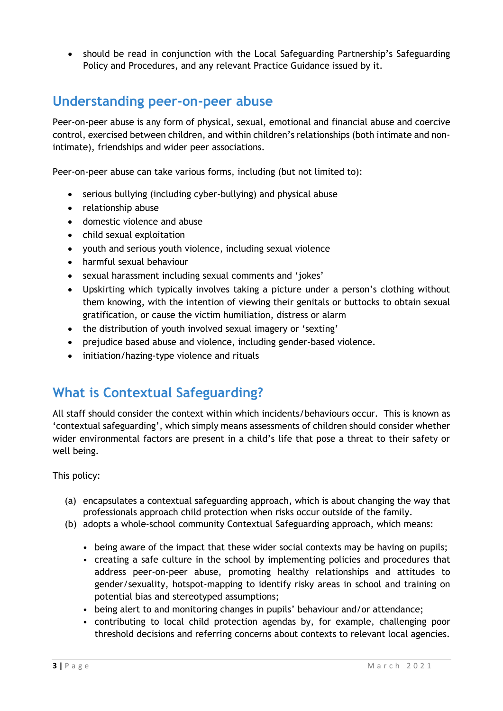• should be read in conjunction with the Local Safeguarding Partnership's Safeguarding Policy and Procedures, and any relevant Practice Guidance issued by it.

## **Understanding peer-on-peer abuse**

Peer-on-peer abuse is any form of physical, sexual, emotional and financial abuse and coercive control, exercised between children, and within children's relationships (both intimate and nonintimate), friendships and wider peer associations.

Peer-on-peer abuse can take various forms, including (but not limited to):

- serious bullying (including cyber-bullying) and physical abuse
- relationship abuse
- domestic violence and abuse
- child sexual exploitation
- youth and serious youth violence, including sexual violence
- harmful sexual behaviour
- sexual harassment including sexual comments and 'jokes'
- Upskirting which typically involves taking a picture under a person's clothing without them knowing, with the intention of viewing their genitals or buttocks to obtain sexual gratification, or cause the victim humiliation, distress or alarm
- the distribution of youth involved sexual imagery or 'sexting'
- prejudice based abuse and violence, including gender-based violence.
- initiation/hazing-type violence and rituals

## **What is Contextual Safeguarding?**

All staff should consider the context within which incidents/behaviours occur. This is known as 'contextual safeguarding', which simply means assessments of children should consider whether wider environmental factors are present in a child's life that pose a threat to their safety or well being.

This policy:

- (a) encapsulates a contextual safeguarding approach, which is about changing the way that professionals approach child protection when risks occur outside of the family.
- (b) adopts a whole-school community Contextual Safeguarding approach, which means:
	- being aware of the impact that these wider social contexts may be having on pupils;
	- creating a safe culture in the school by implementing policies and procedures that address peer-on-peer abuse, promoting healthy relationships and attitudes to gender/sexuality, hotspot-mapping to identify risky areas in school and training on potential bias and stereotyped assumptions;
	- being alert to and monitoring changes in pupils' behaviour and/or attendance;
	- contributing to local child protection agendas by, for example, challenging poor threshold decisions and referring concerns about contexts to relevant local agencies.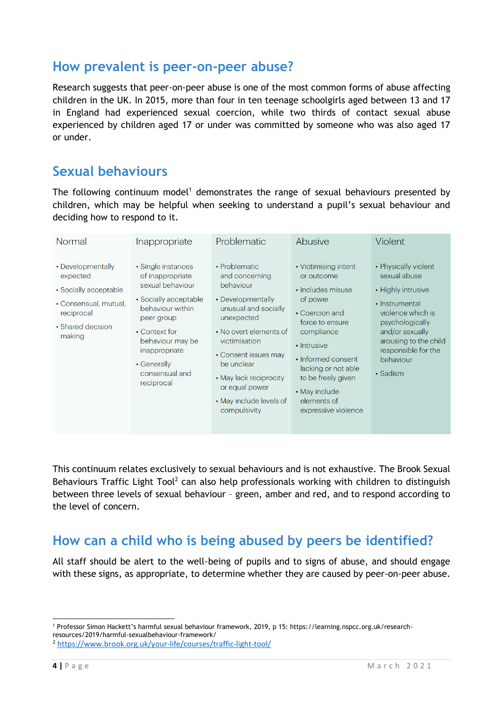#### **How prevalent is peer-on-peer abuse?**

Research suggests that peer-on-peer abuse is one of the most common forms of abuse affecting children in the UK. In 2015, more than four in ten teenage schoolgirls aged between 13 and 17 in England had experienced sexual coercion, while two thirds of contact sexual abuse experienced by children aged 17 or under was committed by someone who was also aged 17 or under.

#### **Sexual behaviours**

The following continuum model<sup>1</sup> demonstrates the range of sexual behaviours presented by children, which may be helpful when seeking to understand a pupil's sexual behaviour and deciding how to respond to it.

| Normal                                                                                                                       | Inappropriate                                                                                                                                                                                                              | Problematic                                                                                                                                                                                                                                                                     | Abusive                                                                                                                                                                                                                                                         | Violent                                                                                                                                                                                                          |
|------------------------------------------------------------------------------------------------------------------------------|----------------------------------------------------------------------------------------------------------------------------------------------------------------------------------------------------------------------------|---------------------------------------------------------------------------------------------------------------------------------------------------------------------------------------------------------------------------------------------------------------------------------|-----------------------------------------------------------------------------------------------------------------------------------------------------------------------------------------------------------------------------------------------------------------|------------------------------------------------------------------------------------------------------------------------------------------------------------------------------------------------------------------|
| • Developmentally<br>expected<br>• Socially acceptable<br>• Consensual, mutual,<br>reciprocal<br>• Shared decision<br>making | • Single instances<br>of inappropriate<br>sexual behaviour<br>• Socially acceptable<br>behaviour within<br>peer group<br>• Context for<br>behaviour may be<br>inappropriate<br>• Generally<br>consensual and<br>reciprocal | • Problematic<br>and concerning<br>behaviour<br>• Developmentally<br>unusual and socially<br>unexpected<br>• No overt elements of<br>victimisation<br>• Consent issues may<br>be unclear<br>• May lack reciprocity<br>or equal power<br>• May include levels of<br>compulsivity | • Victimising intent<br>or outcome<br>• Includes misuse<br>of power<br>• Coercion and<br>force to ensure<br>compliance<br>• Intrusive<br>• Informed consent<br>lacking or not able<br>to be freely given<br>• May include<br>elements of<br>expressive violence | • Physically violent<br>sexual abuse<br>• Highly intrusive<br>• Instrumental<br>violence which is<br>psychologically<br>and/or sexually<br>arousing to the child<br>responsible for the<br>behaviour<br>• Sadism |

This continuum relates exclusively to sexual behaviours and is not exhaustive. The Brook Sexual Behaviours Traffic Light Tool<sup>2</sup> can also help professionals working with children to distinguish between three levels of sexual behaviour – green, amber and red, and to respond according to the level of concern.

# **How can a child who is being abused by peers be identified?**

All staff should be alert to the well-being of pupils and to signs of abuse, and should engage with these signs, as appropriate, to determine whether they are caused by peer-on-peer abuse.

 $\overline{a}$ <sup>1</sup> Professor Simon Hackett's harmful sexual behaviour framework, 2019, p 15: https://learning.nspcc.org.uk/researchresources/2019/harmful-sexualbehaviour-framework/

<sup>2</sup> <https://www.brook.org.uk/your-life/courses/traffic-light-tool/>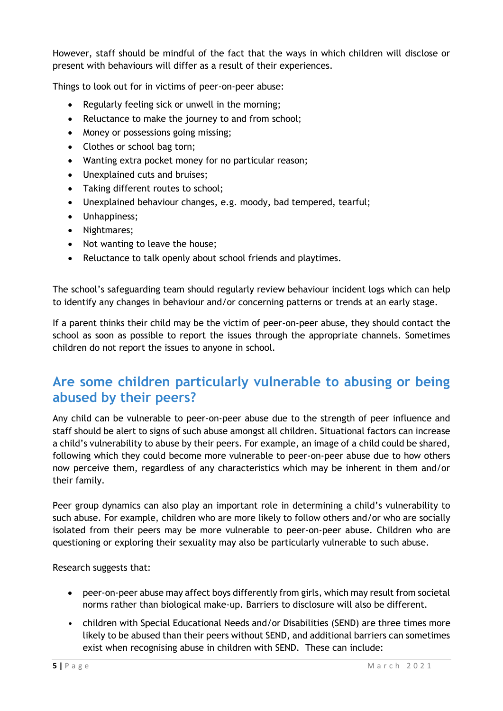However, staff should be mindful of the fact that the ways in which children will disclose or present with behaviours will differ as a result of their experiences.

Things to look out for in victims of peer-on-peer abuse:

- Regularly feeling sick or unwell in the morning;
- Reluctance to make the journey to and from school;
- Money or possessions going missing;
- Clothes or school bag torn;
- Wanting extra pocket money for no particular reason;
- Unexplained cuts and bruises;
- Taking different routes to school;
- Unexplained behaviour changes, e.g. moody, bad tempered, tearful;
- Unhappiness;
- Nightmares;
- Not wanting to leave the house;
- Reluctance to talk openly about school friends and playtimes.

The school's safeguarding team should regularly review behaviour incident logs which can help to identify any changes in behaviour and/or concerning patterns or trends at an early stage.

If a parent thinks their child may be the victim of peer-on-peer abuse, they should contact the school as soon as possible to report the issues through the appropriate channels. Sometimes children do not report the issues to anyone in school.

## **Are some children particularly vulnerable to abusing or being abused by their peers?**

Any child can be vulnerable to peer-on-peer abuse due to the strength of peer influence and staff should be alert to signs of such abuse amongst all children. Situational factors can increase a child's vulnerability to abuse by their peers. For example, an image of a child could be shared, following which they could become more vulnerable to peer-on-peer abuse due to how others now perceive them, regardless of any characteristics which may be inherent in them and/or their family.

Peer group dynamics can also play an important role in determining a child's vulnerability to such abuse. For example, children who are more likely to follow others and/or who are socially isolated from their peers may be more vulnerable to peer-on-peer abuse. Children who are questioning or exploring their sexuality may also be particularly vulnerable to such abuse.

Research suggests that:

- peer-on-peer abuse may affect boys differently from girls, which may result from societal norms rather than biological make-up. Barriers to disclosure will also be different.
- children with Special Educational Needs and/or Disabilities (SEND) are three times more likely to be abused than their peers without SEND, and additional barriers can sometimes exist when recognising abuse in children with SEND. These can include: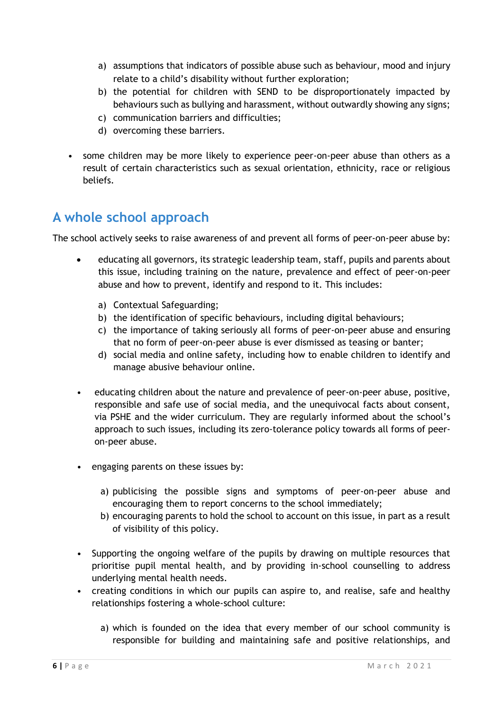- a) assumptions that indicators of possible abuse such as behaviour, mood and injury relate to a child's disability without further exploration;
- b) the potential for children with SEND to be disproportionately impacted by behaviours such as bullying and harassment, without outwardly showing any signs;
- c) communication barriers and difficulties;
- d) overcoming these barriers.
- some children may be more likely to experience peer-on-peer abuse than others as a result of certain characteristics such as sexual orientation, ethnicity, race or religious beliefs.

# **A whole school approach**

The school actively seeks to raise awareness of and prevent all forms of peer-on-peer abuse by:

- educating all governors, its strategic leadership team, staff, pupils and parents about this issue, including training on the nature, prevalence and effect of peer-on-peer abuse and how to prevent, identify and respond to it. This includes:
	- a) Contextual Safeguarding;
	- b) the identification of specific behaviours, including digital behaviours;
	- c) the importance of taking seriously all forms of peer-on-peer abuse and ensuring that no form of peer-on-peer abuse is ever dismissed as teasing or banter;
	- d) social media and online safety, including how to enable children to identify and manage abusive behaviour online.
- educating children about the nature and prevalence of peer-on-peer abuse, positive, responsible and safe use of social media, and the unequivocal facts about consent, via PSHE and the wider curriculum. They are regularly informed about the school's approach to such issues, including its zero-tolerance policy towards all forms of peeron-peer abuse.
- engaging parents on these issues by:
	- a) publicising the possible signs and symptoms of peer-on-peer abuse and encouraging them to report concerns to the school immediately;
	- b) encouraging parents to hold the school to account on this issue, in part as a result of visibility of this policy.
- Supporting the ongoing welfare of the pupils by drawing on multiple resources that prioritise pupil mental health, and by providing in-school counselling to address underlying mental health needs.
- creating conditions in which our pupils can aspire to, and realise, safe and healthy relationships fostering a whole-school culture:
	- a) which is founded on the idea that every member of our school community is responsible for building and maintaining safe and positive relationships, and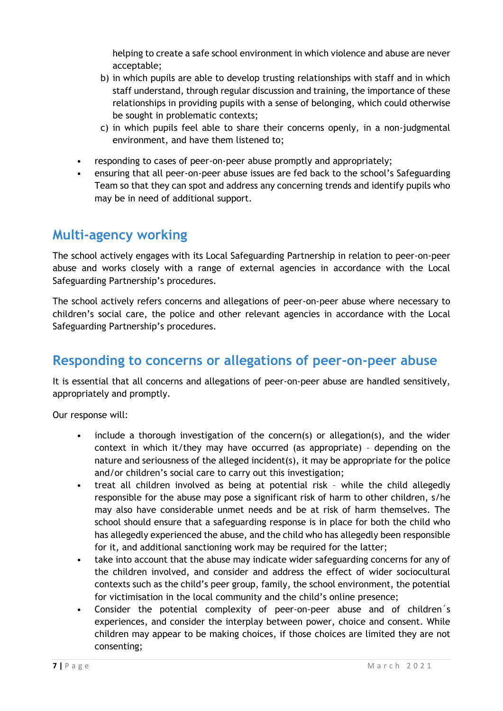helping to create a safe school environment in which violence and abuse are never acceptable;

- b) in which pupils are able to develop trusting relationships with staff and in which staff understand, through regular discussion and training, the importance of these relationships in providing pupils with a sense of belonging, which could otherwise be sought in problematic contexts;
- c) in which pupils feel able to share their concerns openly, in a non-judgmental environment, and have them listened to;
- responding to cases of peer-on-peer abuse promptly and appropriately;
- ensuring that all peer-on-peer abuse issues are fed back to the school's Safeguarding Team so that they can spot and address any concerning trends and identify pupils who may be in need of additional support.

#### **Multi-agency working**

The school actively engages with its Local Safeguarding Partnership in relation to peer-on-peer abuse and works closely with a range of external agencies in accordance with the Local Safeguarding Partnership's procedures.

The school actively refers concerns and allegations of peer-on-peer abuse where necessary to children's social care, the police and other relevant agencies in accordance with the Local Safeguarding Partnership's procedures.

## **Responding to concerns or allegations of peer-on-peer abuse**

It is essential that all concerns and allegations of peer-on-peer abuse are handled sensitively, appropriately and promptly.

Our response will:

- include a thorough investigation of the concern(s) or allegation(s), and the wider context in which it/they may have occurred (as appropriate) – depending on the nature and seriousness of the alleged incident(s), it may be appropriate for the police and/or children's social care to carry out this investigation;
- treat all children involved as being at potential risk while the child allegedly responsible for the abuse may pose a significant risk of harm to other children, s/he may also have considerable unmet needs and be at risk of harm themselves. The school should ensure that a safeguarding response is in place for both the child who has allegedly experienced the abuse, and the child who has allegedly been responsible for it, and additional sanctioning work may be required for the latter;
- take into account that the abuse may indicate wider safeguarding concerns for any of the children involved, and consider and address the effect of wider sociocultural contexts such as the child's peer group, family, the school environment, the potential for victimisation in the local community and the child's online presence;
- Consider the potential complexity of peer-on-peer abuse and of children´s experiences, and consider the interplay between power, choice and consent. While children may appear to be making choices, if those choices are limited they are not consenting;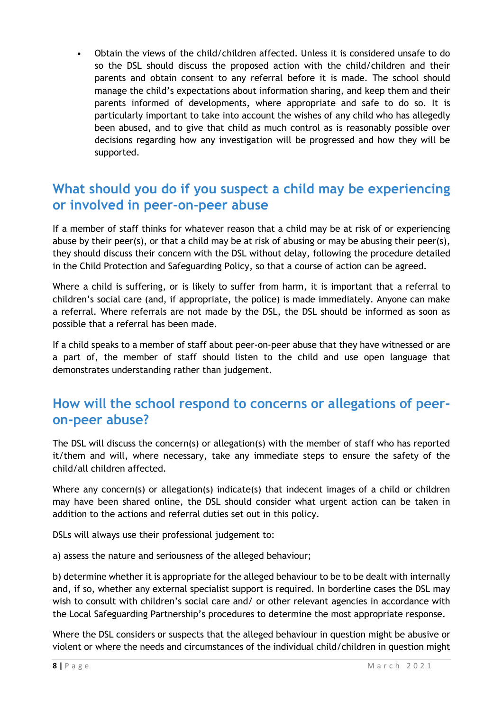• Obtain the views of the child/children affected. Unless it is considered unsafe to do so the DSL should discuss the proposed action with the child/children and their parents and obtain consent to any referral before it is made. The school should manage the child's expectations about information sharing, and keep them and their parents informed of developments, where appropriate and safe to do so. It is particularly important to take into account the wishes of any child who has allegedly been abused, and to give that child as much control as is reasonably possible over decisions regarding how any investigation will be progressed and how they will be supported.

### **What should you do if you suspect a child may be experiencing or involved in peer-on-peer abuse**

If a member of staff thinks for whatever reason that a child may be at risk of or experiencing abuse by their peer(s), or that a child may be at risk of abusing or may be abusing their peer(s), they should discuss their concern with the DSL without delay, following the procedure detailed in the Child Protection and Safeguarding Policy, so that a course of action can be agreed.

Where a child is suffering, or is likely to suffer from harm, it is important that a referral to children's social care (and, if appropriate, the police) is made immediately. Anyone can make a referral. Where referrals are not made by the DSL, the DSL should be informed as soon as possible that a referral has been made.

If a child speaks to a member of staff about peer-on-peer abuse that they have witnessed or are a part of, the member of staff should listen to the child and use open language that demonstrates understanding rather than judgement.

## **How will the school respond to concerns or allegations of peeron-peer abuse?**

The DSL will discuss the concern(s) or allegation(s) with the member of staff who has reported it/them and will, where necessary, take any immediate steps to ensure the safety of the child/all children affected.

Where any concern(s) or allegation(s) indicate(s) that indecent images of a child or children may have been shared online, the DSL should consider what urgent action can be taken in addition to the actions and referral duties set out in this policy.

DSLs will always use their professional judgement to:

a) assess the nature and seriousness of the alleged behaviour;

b) determine whether it is appropriate for the alleged behaviour to be to be dealt with internally and, if so, whether any external specialist support is required. In borderline cases the DSL may wish to consult with children's social care and/ or other relevant agencies in accordance with the Local Safeguarding Partnership's procedures to determine the most appropriate response.

Where the DSL considers or suspects that the alleged behaviour in question might be abusive or violent or where the needs and circumstances of the individual child/children in question might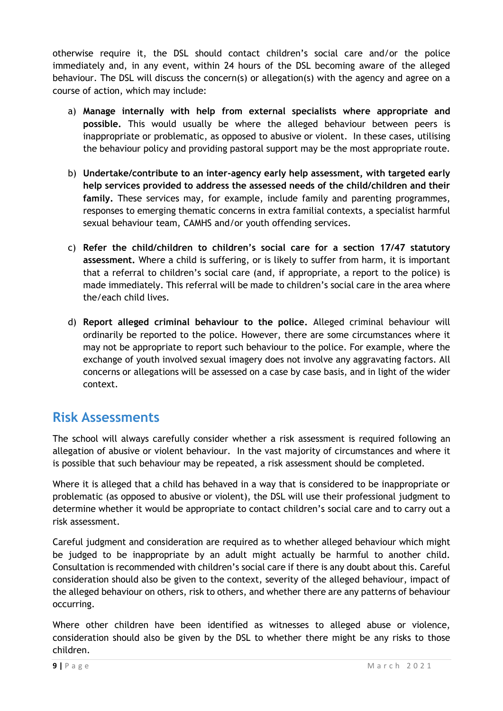otherwise require it, the DSL should contact children's social care and/or the police immediately and, in any event, within 24 hours of the DSL becoming aware of the alleged behaviour. The DSL will discuss the concern(s) or allegation(s) with the agency and agree on a course of action, which may include:

- a) **Manage internally with help from external specialists where appropriate and possible.** This would usually be where the alleged behaviour between peers is inappropriate or problematic, as opposed to abusive or violent. In these cases, utilising the behaviour policy and providing pastoral support may be the most appropriate route.
- b) **Undertake/contribute to an inter-agency early help assessment, with targeted early help services provided to address the assessed needs of the child/children and their family.** These services may, for example, include family and parenting programmes, responses to emerging thematic concerns in extra familial contexts, a specialist harmful sexual behaviour team, CAMHS and/or youth offending services.
- c) **Refer the child/children to children's social care for a section 17/47 statutory assessment.** Where a child is suffering, or is likely to suffer from harm, it is important that a referral to children's social care (and, if appropriate, a report to the police) is made immediately. This referral will be made to children's social care in the area where the/each child lives.
- d) **Report alleged criminal behaviour to the police.** Alleged criminal behaviour will ordinarily be reported to the police. However, there are some circumstances where it may not be appropriate to report such behaviour to the police. For example, where the exchange of youth involved sexual imagery does not involve any aggravating factors. All concerns or allegations will be assessed on a case by case basis, and in light of the wider context.

## **Risk Assessments**

The school will always carefully consider whether a risk assessment is required following an allegation of abusive or violent behaviour. In the vast majority of circumstances and where it is possible that such behaviour may be repeated, a risk assessment should be completed.

Where it is alleged that a child has behaved in a way that is considered to be inappropriate or problematic (as opposed to abusive or violent), the DSL will use their professional judgment to determine whether it would be appropriate to contact children's social care and to carry out a risk assessment.

Careful judgment and consideration are required as to whether alleged behaviour which might be judged to be inappropriate by an adult might actually be harmful to another child. Consultation is recommended with children's social care if there is any doubt about this. Careful consideration should also be given to the context, severity of the alleged behaviour, impact of the alleged behaviour on others, risk to others, and whether there are any patterns of behaviour occurring.

Where other children have been identified as witnesses to alleged abuse or violence, consideration should also be given by the DSL to whether there might be any risks to those children.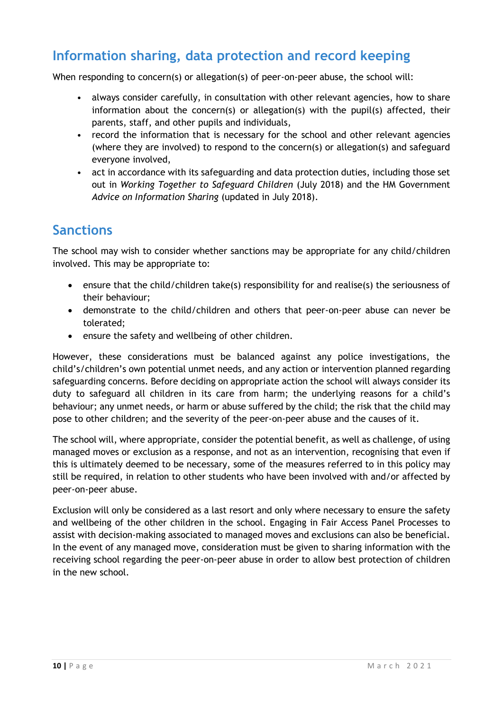# **Information sharing, data protection and record keeping**

When responding to concern(s) or allegation(s) of peer-on-peer abuse, the school will:

- always consider carefully, in consultation with other relevant agencies, how to share information about the concern(s) or allegation(s) with the pupil(s) affected, their parents, staff, and other pupils and individuals,
- record the information that is necessary for the school and other relevant agencies (where they are involved) to respond to the concern(s) or allegation(s) and safeguard everyone involved,
- act in accordance with its safeguarding and data protection duties, including those set out in *Working Together to Safeguard Children* (July 2018) and the HM Government *Advice on Information Sharing* (updated in July 2018).

#### **Sanctions**

The school may wish to consider whether sanctions may be appropriate for any child/children involved. This may be appropriate to:

- ensure that the child/children take(s) responsibility for and realise(s) the seriousness of their behaviour;
- demonstrate to the child/children and others that peer-on-peer abuse can never be tolerated;
- ensure the safety and wellbeing of other children.

However, these considerations must be balanced against any police investigations, the child's/children's own potential unmet needs, and any action or intervention planned regarding safeguarding concerns. Before deciding on appropriate action the school will always consider its duty to safeguard all children in its care from harm; the underlying reasons for a child's behaviour; any unmet needs, or harm or abuse suffered by the child; the risk that the child may pose to other children; and the severity of the peer-on-peer abuse and the causes of it.

The school will, where appropriate, consider the potential benefit, as well as challenge, of using managed moves or exclusion as a response, and not as an intervention, recognising that even if this is ultimately deemed to be necessary, some of the measures referred to in this policy may still be required, in relation to other students who have been involved with and/or affected by peer-on-peer abuse.

Exclusion will only be considered as a last resort and only where necessary to ensure the safety and wellbeing of the other children in the school. Engaging in Fair Access Panel Processes to assist with decision-making associated to managed moves and exclusions can also be beneficial. In the event of any managed move, consideration must be given to sharing information with the receiving school regarding the peer-on-peer abuse in order to allow best protection of children in the new school.